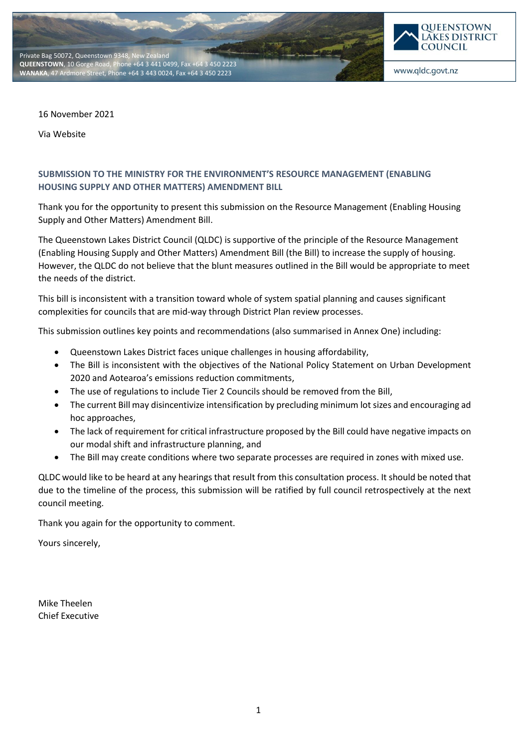



www.qldc.govt.nz

16 November 2021

Via Website

## **SUBMISSION TO THE MINISTRY FOR THE ENVIRONMENT'S RESOURCE MANAGEMENT (ENABLING HOUSING SUPPLY AND OTHER MATTERS) AMENDMENT BILL**

Thank you for the opportunity to present this submission on the Resource Management (Enabling Housing Supply and Other Matters) Amendment Bill.

The Queenstown Lakes District Council (QLDC) is supportive of the principle of the Resource Management (Enabling Housing Supply and Other Matters) Amendment Bill (the Bill) to increase the supply of housing. However, the QLDC do not believe that the blunt measures outlined in the Bill would be appropriate to meet the needs of the district.

This bill is inconsistent with a transition toward whole of system spatial planning and causes significant complexities for councils that are mid-way through District Plan review processes.

This submission outlines key points and recommendations (also summarised in Annex One) including:

- Queenstown Lakes District faces unique challenges in housing affordability,
- The Bill is inconsistent with the objectives of the National Policy Statement on Urban Development 2020 and Aotearoa's emissions reduction commitments,
- The use of regulations to include Tier 2 Councils should be removed from the Bill,
- The current Bill may disincentivize intensification by precluding minimum lot sizes and encouraging ad hoc approaches,
- The lack of requirement for critical infrastructure proposed by the Bill could have negative impacts on our modal shift and infrastructure planning, and
- The Bill may create conditions where two separate processes are required in zones with mixed use.

QLDC would like to be heard at any hearings that result from this consultation process. It should be noted that due to the timeline of the process, this submission will be ratified by full council retrospectively at the next council meeting.

Thank you again for the opportunity to comment.

Yours sincerely,

Mike Theelen Chief Executive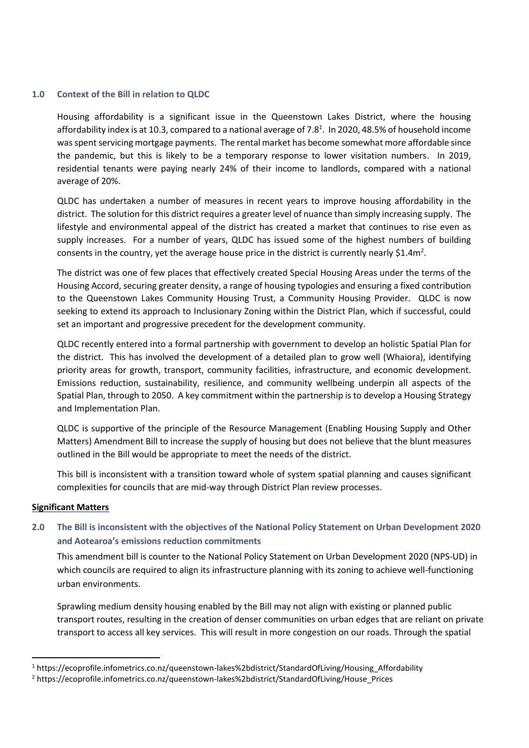### **1.0 Context of the Bill in relation to QLDC**

Housing affordability is a significant issue in the Queenstown Lakes District, where the housing affordability index is at 10.3, compared to a national average of 7.8<sup>1</sup>. In 2020, 48.5% of household income was spent servicing mortgage payments. The rental market has become somewhat more affordable since the pandemic, but this is likely to be a temporary response to lower visitation numbers. In 2019, residential tenants were paying nearly 24% of their income to landlords, compared with a national average of 20%.

QLDC has undertaken a number of measures in recent years to improve housing affordability in the district. The solution for this district requires a greater level of nuance than simply increasing supply. The lifestyle and environmental appeal of the district has created a market that continues to rise even as supply increases. For a number of years, QLDC has issued some of the highest numbers of building consents in the country, yet the average house price in the district is currently nearly \$1.4m<sup>2</sup>.

The district was one of few places that effectively created Special Housing Areas under the terms of the Housing Accord, securing greater density, a range of housing typologies and ensuring a fixed contribution to the Queenstown Lakes Community Housing Trust, a Community Housing Provider. QLDC is now seeking to extend its approach to Inclusionary Zoning within the District Plan, which if successful, could set an important and progressive precedent for the development community.

QLDC recently entered into a formal partnership with government to develop an holistic Spatial Plan for the district. This has involved the development of a detailed plan to grow well (Whaiora), identifying priority areas for growth, transport, community facilities, infrastructure, and economic development. Emissions reduction, sustainability, resilience, and community wellbeing underpin all aspects of the Spatial Plan, through to 2050. A key commitment within the partnership is to develop a Housing Strategy and Implementation Plan.

QLDC is supportive of the principle of the Resource Management (Enabling Housing Supply and Other Matters) Amendment Bill to increase the supply of housing but does not believe that the blunt measures outlined in the Bill would be appropriate to meet the needs of the district.

This bill is inconsistent with a transition toward whole of system spatial planning and causes significant complexities for councils that are mid-way through District Plan review processes.

#### **Significant Matters**

# **2.0 The Bill is inconsistent with the objectives of the National Policy Statement on Urban Development 2020 and Aotearoa's emissions reduction commitments**

This amendment bill is counter to the National Policy Statement on Urban Development 2020 (NPS-UD) in which councils are required to align its infrastructure planning with its zoning to achieve well-functioning urban environments.

Sprawling medium density housing enabled by the Bill may not align with existing or planned public transport routes, resulting in the creation of denser communities on urban edges that are reliant on private transport to access all key services. This will result in more congestion on our roads. Through the spatial

<sup>1</sup> https://ecoprofile.infometrics.co.nz/queenstown-lakes%2bdistrict/StandardOfLiving/Housing\_Affordability

<sup>2</sup> https://ecoprofile.infometrics.co.nz/queenstown-lakes%2bdistrict/StandardOfLiving/House\_Prices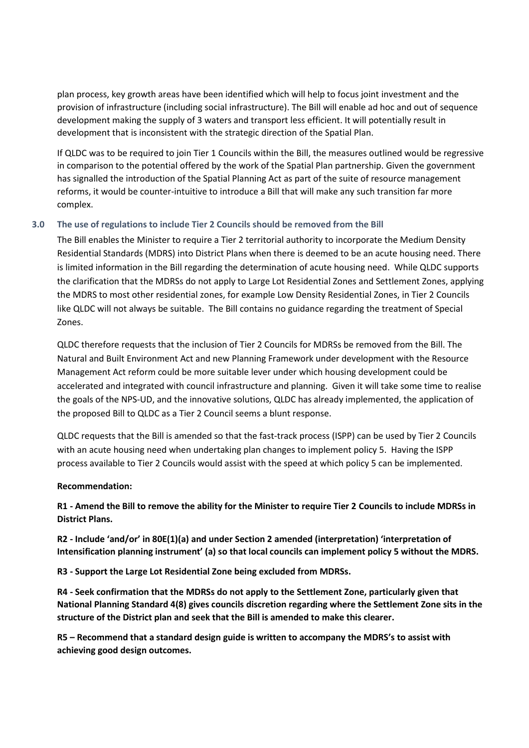plan process, key growth areas have been identified which will help to focus joint investment and the provision of infrastructure (including social infrastructure). The Bill will enable ad hoc and out of sequence development making the supply of 3 waters and transport less efficient. It will potentially result in development that is inconsistent with the strategic direction of the Spatial Plan.

If QLDC was to be required to join Tier 1 Councils within the Bill, the measures outlined would be regressive in comparison to the potential offered by the work of the Spatial Plan partnership. Given the government has signalled the introduction of the Spatial Planning Act as part of the suite of resource management reforms, it would be counter-intuitive to introduce a Bill that will make any such transition far more complex.

## **3.0 The use of regulations to include Tier 2 Councils should be removed from the Bill**

The Bill enables the Minister to require a Tier 2 territorial authority to incorporate the Medium Density Residential Standards (MDRS) into District Plans when there is deemed to be an acute housing need. There is limited information in the Bill regarding the determination of acute housing need. While QLDC supports the clarification that the MDRSs do not apply to Large Lot Residential Zones and Settlement Zones, applying the MDRS to most other residential zones, for example Low Density Residential Zones, in Tier 2 Councils like QLDC will not always be suitable. The Bill contains no guidance regarding the treatment of Special Zones.

QLDC therefore requests that the inclusion of Tier 2 Councils for MDRSs be removed from the Bill. The Natural and Built Environment Act and new Planning Framework under development with the Resource Management Act reform could be more suitable lever under which housing development could be accelerated and integrated with council infrastructure and planning. Given it will take some time to realise the goals of the NPS-UD, and the innovative solutions, QLDC has already implemented, the application of the proposed Bill to QLDC as a Tier 2 Council seems a blunt response.

QLDC requests that the Bill is amended so that the fast-track process (ISPP) can be used by Tier 2 Councils with an acute housing need when undertaking plan changes to implement policy 5. Having the ISPP process available to Tier 2 Councils would assist with the speed at which policy 5 can be implemented.

## **Recommendation:**

**R1 - Amend the Bill to remove the ability for the Minister to require Tier 2 Councils to include MDRSs in District Plans.**

**R2 - Include 'and/or' in 80E(1)(a) and under Section 2 amended (interpretation) 'interpretation of Intensification planning instrument' (a) so that local councils can implement policy 5 without the MDRS.**

**R3 - Support the Large Lot Residential Zone being excluded from MDRSs.**

**R4 - Seek confirmation that the MDRSs do not apply to the Settlement Zone, particularly given that National Planning Standard 4(8) gives councils discretion regarding where the Settlement Zone sits in the structure of the District plan and seek that the Bill is amended to make this clearer.**

**R5 – Recommend that a standard design guide is written to accompany the MDRS's to assist with achieving good design outcomes.**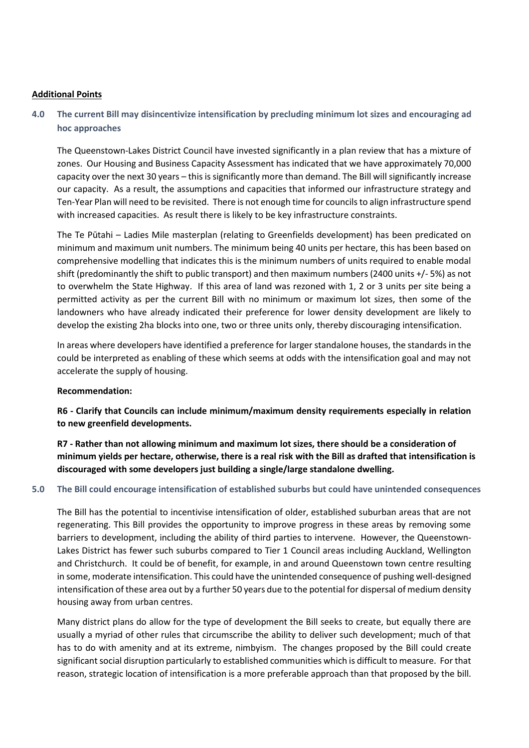### **Additional Points**

## **4.0 The current Bill may disincentivize intensification by precluding minimum lot sizes and encouraging ad hoc approaches**

The Queenstown-Lakes District Council have invested significantly in a plan review that has a mixture of zones. Our Housing and Business Capacity Assessment has indicated that we have approximately 70,000 capacity over the next 30 years – this is significantly more than demand. The Bill will significantly increase our capacity. As a result, the assumptions and capacities that informed our infrastructure strategy and Ten-Year Plan will need to be revisited. There is not enough time for councils to align infrastructure spend with increased capacities. As result there is likely to be key infrastructure constraints.

The Te Pūtahi – Ladies Mile masterplan (relating to Greenfields development) has been predicated on minimum and maximum unit numbers. The minimum being 40 units per hectare, this has been based on comprehensive modelling that indicates this is the minimum numbers of units required to enable modal shift (predominantly the shift to public transport) and then maximum numbers (2400 units +/- 5%) as not to overwhelm the State Highway. If this area of land was rezoned with 1, 2 or 3 units per site being a permitted activity as per the current Bill with no minimum or maximum lot sizes, then some of the landowners who have already indicated their preference for lower density development are likely to develop the existing 2ha blocks into one, two or three units only, thereby discouraging intensification.

In areas where developers have identified a preference for larger standalone houses, the standards in the could be interpreted as enabling of these which seems at odds with the intensification goal and may not accelerate the supply of housing.

#### **Recommendation:**

**R6 - Clarify that Councils can include minimum/maximum density requirements especially in relation to new greenfield developments.**

**R7 - Rather than not allowing minimum and maximum lot sizes, there should be a consideration of minimum yields per hectare, otherwise, there is a real risk with the Bill as drafted that intensification is discouraged with some developers just building a single/large standalone dwelling.**

### **5.0 The Bill could encourage intensification of established suburbs but could have unintended consequences**

The Bill has the potential to incentivise intensification of older, established suburban areas that are not regenerating. This Bill provides the opportunity to improve progress in these areas by removing some barriers to development, including the ability of third parties to intervene. However, the Queenstown-Lakes District has fewer such suburbs compared to Tier 1 Council areas including Auckland, Wellington and Christchurch. It could be of benefit, for example, in and around Queenstown town centre resulting in some, moderate intensification. This could have the unintended consequence of pushing well-designed intensification of these area out by a further 50 years due to the potential for dispersal of medium density housing away from urban centres.

Many district plans do allow for the type of development the Bill seeks to create, but equally there are usually a myriad of other rules that circumscribe the ability to deliver such development; much of that has to do with amenity and at its extreme, nimbyism. The changes proposed by the Bill could create significant social disruption particularly to established communities which is difficult to measure. For that reason, strategic location of intensification is a more preferable approach than that proposed by the bill.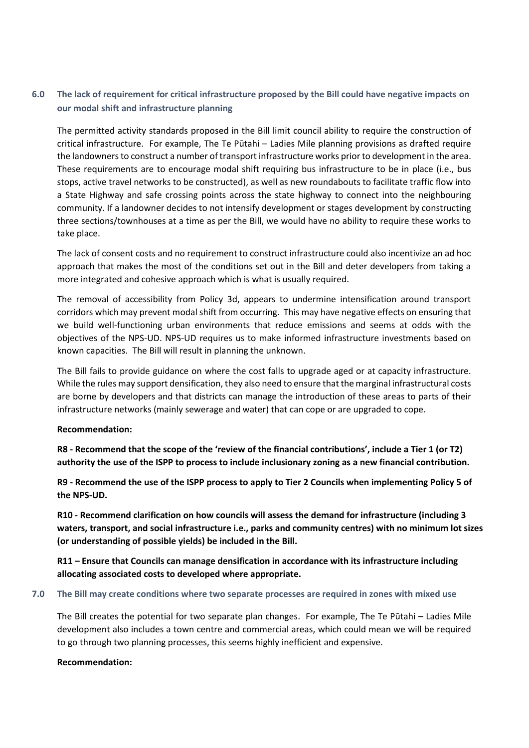# **6.0 The lack of requirement for critical infrastructure proposed by the Bill could have negative impacts on our modal shift and infrastructure planning**

The permitted activity standards proposed in the Bill limit council ability to require the construction of critical infrastructure. For example, The Te Pūtahi – Ladies Mile planning provisions as drafted require the landowners to construct a number of transport infrastructure works prior to development in the area. These requirements are to encourage modal shift requiring bus infrastructure to be in place (i.e., bus stops, active travel networks to be constructed), as well as new roundabouts to facilitate traffic flow into a State Highway and safe crossing points across the state highway to connect into the neighbouring community. If a landowner decides to not intensify development or stages development by constructing three sections/townhouses at a time as per the Bill, we would have no ability to require these works to take place.

The lack of consent costs and no requirement to construct infrastructure could also incentivize an ad hoc approach that makes the most of the conditions set out in the Bill and deter developers from taking a more integrated and cohesive approach which is what is usually required.

The removal of accessibility from Policy 3d, appears to undermine intensification around transport corridors which may prevent modal shift from occurring. This may have negative effects on ensuring that we build well-functioning urban environments that reduce emissions and seems at odds with the objectives of the NPS-UD. NPS-UD requires us to make informed infrastructure investments based on known capacities. The Bill will result in planning the unknown.

The Bill fails to provide guidance on where the cost falls to upgrade aged or at capacity infrastructure. While the rules may support densification, they also need to ensure that the marginal infrastructural costs are borne by developers and that districts can manage the introduction of these areas to parts of their infrastructure networks (mainly sewerage and water) that can cope or are upgraded to cope.

#### **Recommendation:**

**R8 - Recommend that the scope of the 'review of the financial contributions', include a Tier 1 (or T2) authority the use of the ISPP to process to include inclusionary zoning as a new financial contribution.**

**R9 - Recommend the use of the ISPP process to apply to Tier 2 Councils when implementing Policy 5 of the NPS-UD.**

**R10 - Recommend clarification on how councils will assess the demand for infrastructure (including 3 waters, transport, and social infrastructure i.e., parks and community centres) with no minimum lot sizes (or understanding of possible yields) be included in the Bill.**

**R11 – Ensure that Councils can manage densification in accordance with its infrastructure including allocating associated costs to developed where appropriate.**

#### **7.0 The Bill may create conditions where two separate processes are required in zones with mixed use**

The Bill creates the potential for two separate plan changes. For example, The Te Pūtahi – Ladies Mile development also includes a town centre and commercial areas, which could mean we will be required to go through two planning processes, this seems highly inefficient and expensive.

#### **Recommendation:**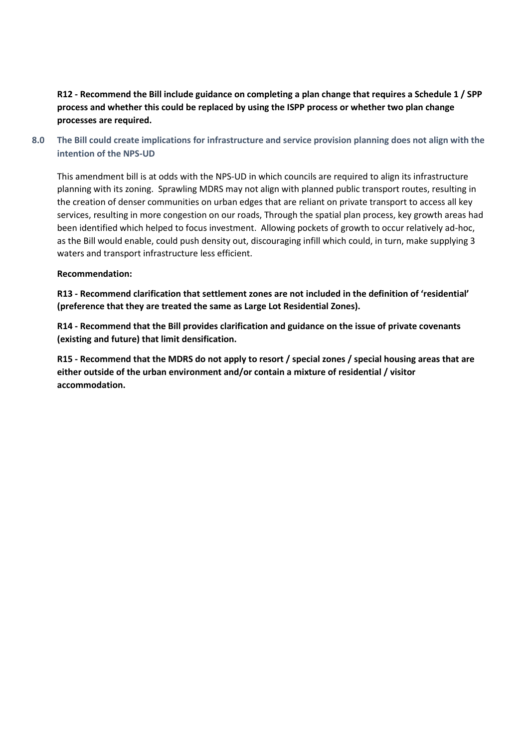# **R12 - Recommend the Bill include guidance on completing a plan change that requires a Schedule 1 / SPP process and whether this could be replaced by using the ISPP process or whether two plan change processes are required.**

**8.0 The Bill could create implications for infrastructure and service provision planning does not align with the intention of the NPS-UD**

This amendment bill is at odds with the NPS-UD in which councils are required to align its infrastructure planning with its zoning. Sprawling MDRS may not align with planned public transport routes, resulting in the creation of denser communities on urban edges that are reliant on private transport to access all key services, resulting in more congestion on our roads, Through the spatial plan process, key growth areas had been identified which helped to focus investment. Allowing pockets of growth to occur relatively ad-hoc, as the Bill would enable, could push density out, discouraging infill which could, in turn, make supplying 3 waters and transport infrastructure less efficient.

## **Recommendation:**

**R13 - Recommend clarification that settlement zones are not included in the definition of 'residential' (preference that they are treated the same as Large Lot Residential Zones).**

**R14 - Recommend that the Bill provides clarification and guidance on the issue of private covenants (existing and future) that limit densification.**

**R15 - Recommend that the MDRS do not apply to resort / special zones / special housing areas that are either outside of the urban environment and/or contain a mixture of residential / visitor accommodation.**